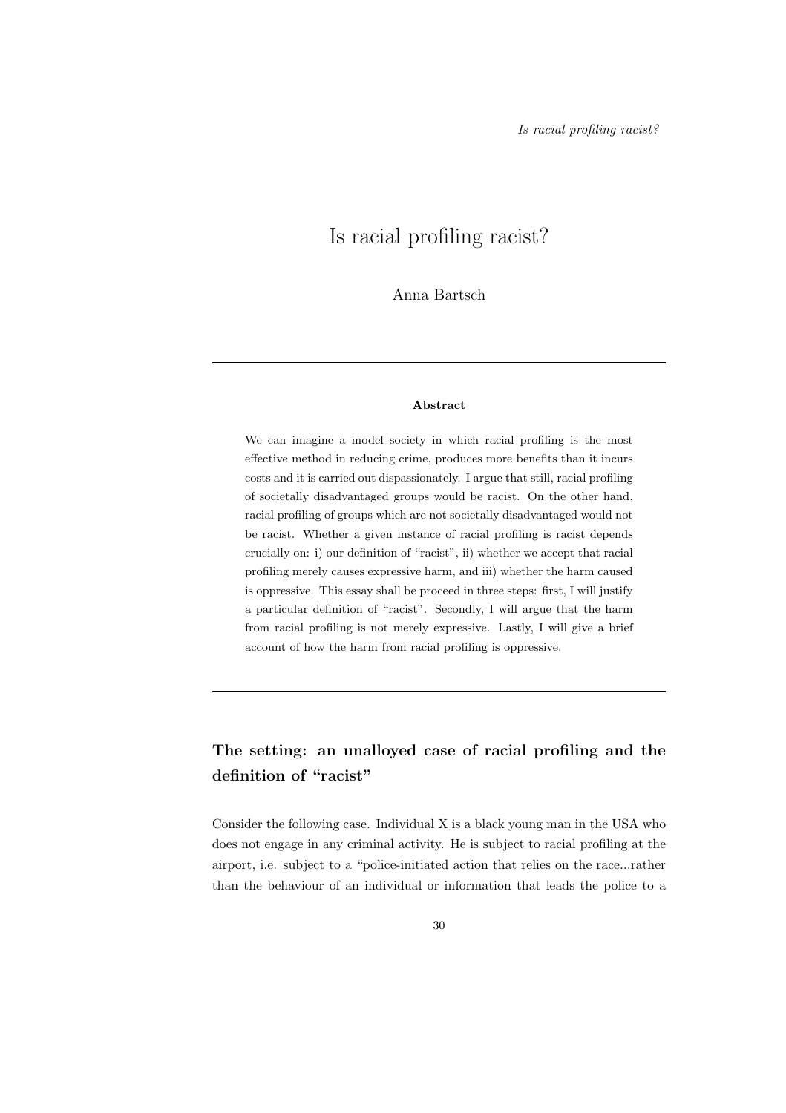# Is racial profiling racist?

Anna Bartsch

#### Abstract

We can imagine a model society in which racial profiling is the most effective method in reducing crime, produces more benefits than it incurs costs and it is carried out dispassionately. I argue that still, racial profiling of societally disadvantaged groups would be racist. On the other hand, racial profiling of groups which are not societally disadvantaged would not be racist. Whether a given instance of racial profiling is racist depends crucially on: i) our definition of "racist", ii) whether we accept that racial profiling merely causes expressive harm, and iii) whether the harm caused is oppressive. This essay shall be proceed in three steps: first, I will justify a particular definition of "racist". Secondly, I will argue that the harm from racial profiling is not merely expressive. Lastly, I will give a brief account of how the harm from racial profiling is oppressive.

## The setting: an unalloyed case of racial profiling and the definition of "racist"

Consider the following case. Individual X is a black young man in the USA who does not engage in any criminal activity. He is subject to racial profiling at the airport, i.e. subject to a "police-initiated action that relies on the race...rather than the behaviour of an individual or information that leads the police to a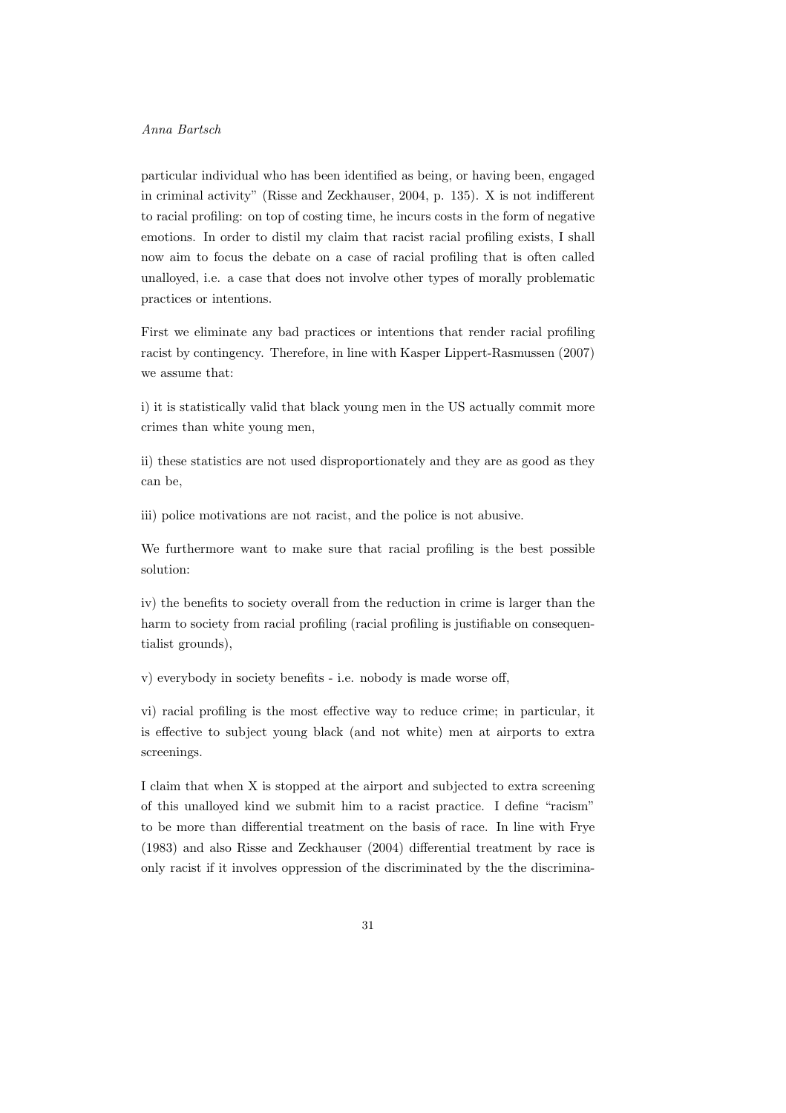### Anna Bartsch

particular individual who has been identified as being, or having been, engaged in criminal activity" (Risse and Zeckhauser, 2004, p. 135). X is not indifferent to racial profiling: on top of costing time, he incurs costs in the form of negative emotions. In order to distil my claim that racist racial profiling exists, I shall now aim to focus the debate on a case of racial profiling that is often called unalloyed, i.e. a case that does not involve other types of morally problematic practices or intentions.

First we eliminate any bad practices or intentions that render racial profiling racist by contingency. Therefore, in line with Kasper Lippert-Rasmussen (2007) we assume that:

i) it is statistically valid that black young men in the US actually commit more crimes than white young men,

ii) these statistics are not used disproportionately and they are as good as they can be,

iii) police motivations are not racist, and the police is not abusive.

We furthermore want to make sure that racial profiling is the best possible solution:

iv) the benefits to society overall from the reduction in crime is larger than the harm to society from racial profiling (racial profiling is justifiable on consequentialist grounds),

v) everybody in society benefits - i.e. nobody is made worse off,

vi) racial profiling is the most effective way to reduce crime; in particular, it is effective to subject young black (and not white) men at airports to extra screenings.

I claim that when X is stopped at the airport and subjected to extra screening of this unalloyed kind we submit him to a racist practice. I define "racism" to be more than differential treatment on the basis of race. In line with Frye (1983) and also Risse and Zeckhauser (2004) differential treatment by race is only racist if it involves oppression of the discriminated by the the discrimina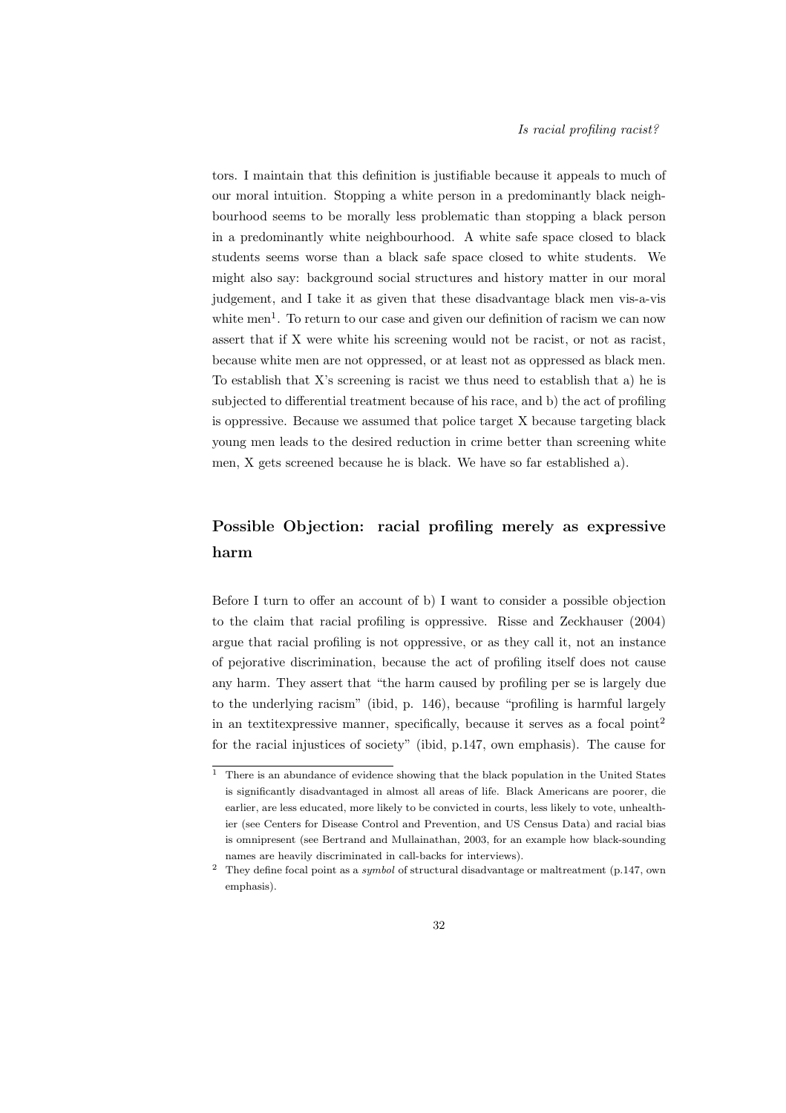tors. I maintain that this definition is justifiable because it appeals to much of our moral intuition. Stopping a white person in a predominantly black neighbourhood seems to be morally less problematic than stopping a black person in a predominantly white neighbourhood. A white safe space closed to black students seems worse than a black safe space closed to white students. We might also say: background social structures and history matter in our moral judgement, and I take it as given that these disadvantage black men vis-a-vis white men<sup>1</sup>. To return to our case and given our definition of racism we can now assert that if X were white his screening would not be racist, or not as racist, because white men are not oppressed, or at least not as oppressed as black men. To establish that X's screening is racist we thus need to establish that a) he is subjected to differential treatment because of his race, and b) the act of profiling is oppressive. Because we assumed that police target X because targeting black young men leads to the desired reduction in crime better than screening white men, X gets screened because he is black. We have so far established a).

## Possible Objection: racial profiling merely as expressive harm

Before I turn to offer an account of b) I want to consider a possible objection to the claim that racial profiling is oppressive. Risse and Zeckhauser (2004) argue that racial profiling is not oppressive, or as they call it, not an instance of pejorative discrimination, because the act of profiling itself does not cause any harm. They assert that "the harm caused by profiling per se is largely due to the underlying racism" (ibid, p. 146), because "profiling is harmful largely in an textitexpressive manner, specifically, because it serves as a focal point<sup>2</sup> for the racial injustices of society" (ibid, p.147, own emphasis). The cause for

 $\overline{1}$  There is an abundance of evidence showing that the black population in the United States is significantly disadvantaged in almost all areas of life. Black Americans are poorer, die earlier, are less educated, more likely to be convicted in courts, less likely to vote, unhealthier (see Centers for Disease Control and Prevention, and US Census Data) and racial bias is omnipresent (see Bertrand and Mullainathan, 2003, for an example how black-sounding names are heavily discriminated in call-backs for interviews).

 $2$  They define focal point as a *symbol* of structural disadvantage or maltreatment (p.147, own emphasis).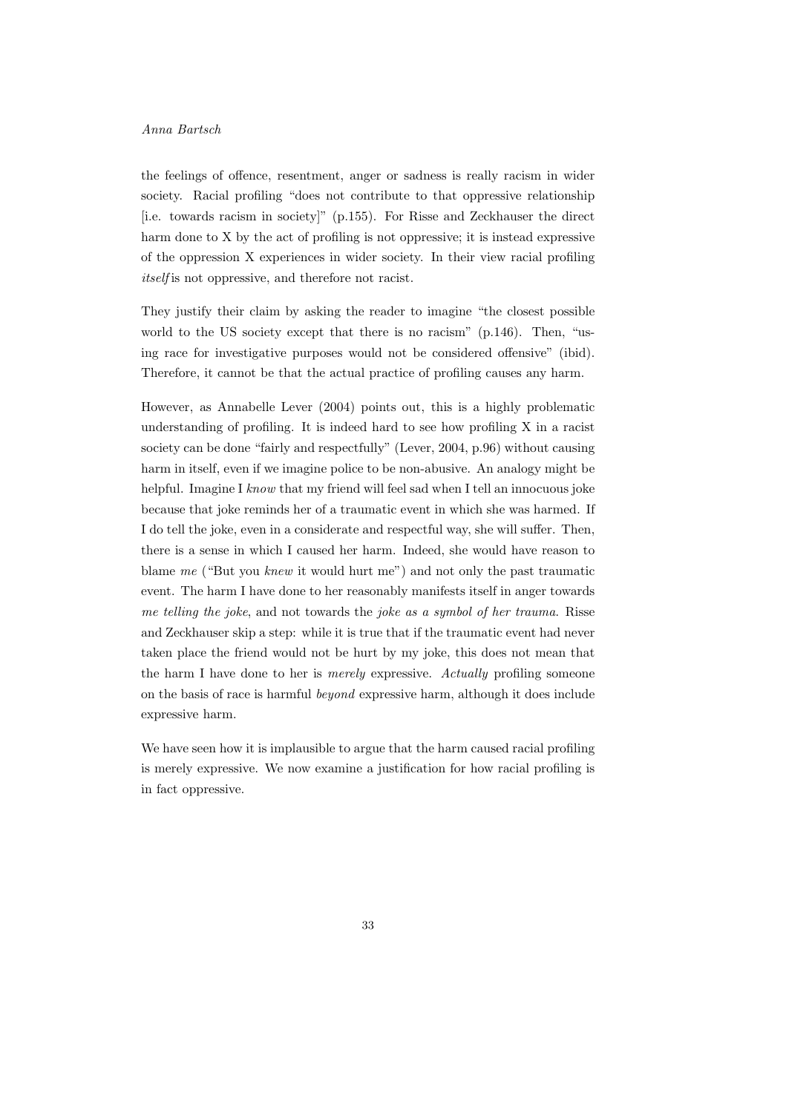### Anna Bartsch

the feelings of offence, resentment, anger or sadness is really racism in wider society. Racial profiling "does not contribute to that oppressive relationship [i.e. towards racism in society]" (p.155). For Risse and Zeckhauser the direct harm done to X by the act of profiling is not oppressive; it is instead expressive of the oppression X experiences in wider society. In their view racial profiling itself is not oppressive, and therefore not racist.

They justify their claim by asking the reader to imagine "the closest possible world to the US society except that there is no racism" (p.146). Then, "using race for investigative purposes would not be considered offensive" (ibid). Therefore, it cannot be that the actual practice of profiling causes any harm.

However, as Annabelle Lever (2004) points out, this is a highly problematic understanding of profiling. It is indeed hard to see how profiling X in a racist society can be done "fairly and respectfully" (Lever, 2004, p.96) without causing harm in itself, even if we imagine police to be non-abusive. An analogy might be helpful. Imagine I know that my friend will feel sad when I tell an innocuous joke because that joke reminds her of a traumatic event in which she was harmed. If I do tell the joke, even in a considerate and respectful way, she will suffer. Then, there is a sense in which I caused her harm. Indeed, she would have reason to blame me ("But you knew it would hurt me") and not only the past traumatic event. The harm I have done to her reasonably manifests itself in anger towards me telling the joke, and not towards the joke as a symbol of her trauma. Risse and Zeckhauser skip a step: while it is true that if the traumatic event had never taken place the friend would not be hurt by my joke, this does not mean that the harm I have done to her is *merely* expressive. Actually profiling someone on the basis of race is harmful beyond expressive harm, although it does include expressive harm.

We have seen how it is implausible to argue that the harm caused racial profiling is merely expressive. We now examine a justification for how racial profiling is in fact oppressive.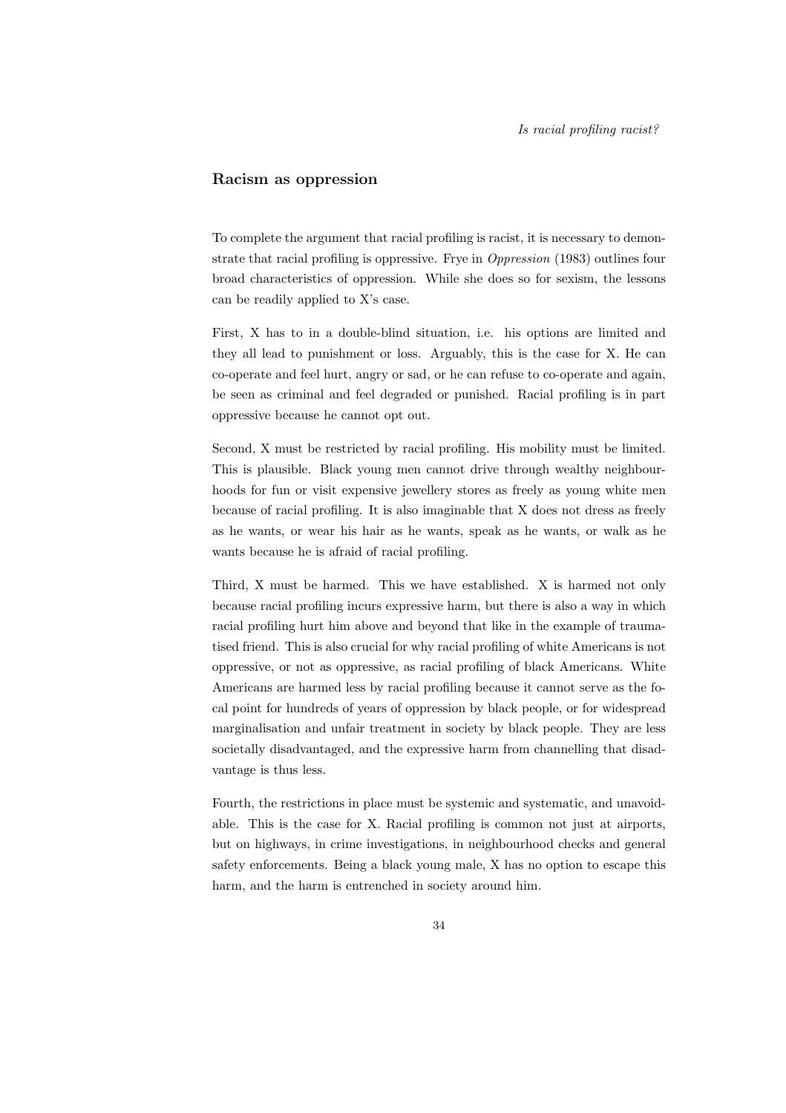### Racism as oppression

To complete the argument that racial profiling is racist, it is necessary to demonstrate that racial profiling is oppressive. Frye in *Oppression* (1983) outlines four broad characteristics of oppression. While she does so for sexism, the lessons can be readily applied to X's case.

First, X has to in a double-blind situation, i.e. his options are limited and they all lead to punishment or loss. Arguably, this is the case for X. He can co-operate and feel hurt, angry or sad, or he can refuse to co-operate and again, be seen as criminal and feel degraded or punished. Racial profiling is in part oppressive because he cannot opt out.

Second, X must be restricted by racial profiling. His mobility must be limited. This is plausible. Black young men cannot drive through wealthy neighbourhoods for fun or visit expensive jewellery stores as freely as young white men because of racial profiling. It is also imaginable that X does not dress as freely as he wants, or wear his hair as he wants, speak as he wants, or walk as he wants because he is afraid of racial profiling.

Third, X must be harmed. This we have established. X is harmed not only because racial profiling incurs expressive harm, but there is also a way in which racial profiling hurt him above and beyond that like in the example of traumatised friend. This is also crucial for why racial profiling of white Americans is not oppressive, or not as oppressive, as racial profiling of black Americans. White Americans are harmed less by racial profiling because it cannot serve as the focal point for hundreds of years of oppression by black people, or for widespread marginalisation and unfair treatment in society by black people. They are less societally disadvantaged, and the expressive harm from channelling that disadvantage is thus less.

Fourth, the restrictions in place must be systemic and systematic, and unavoidable. This is the case for X. Racial profiling is common not just at airports, but on highways, in crime investigations, in neighbourhood checks and general safety enforcements. Being a black young male, X has no option to escape this harm, and the harm is entrenched in society around him.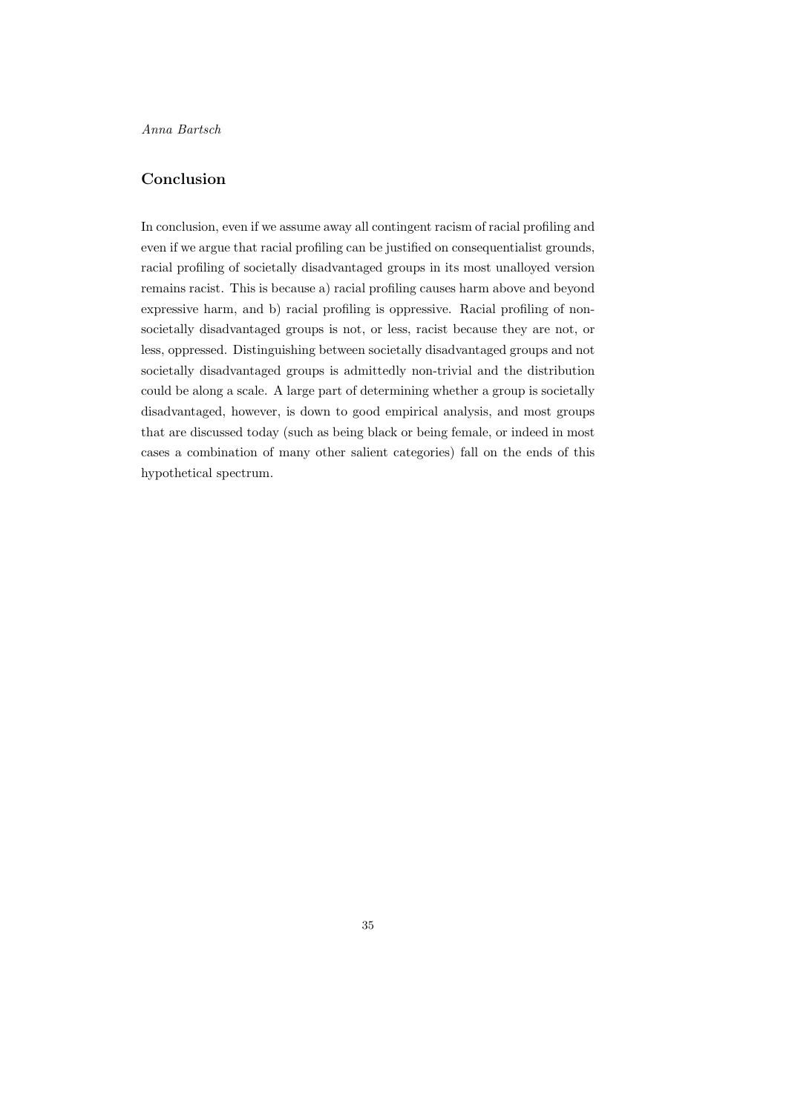### Conclusion

In conclusion, even if we assume away all contingent racism of racial profiling and even if we argue that racial profiling can be justified on consequentialist grounds, racial profiling of societally disadvantaged groups in its most unalloyed version remains racist. This is because a) racial profiling causes harm above and beyond expressive harm, and b) racial profiling is oppressive. Racial profiling of nonsocietally disadvantaged groups is not, or less, racist because they are not, or less, oppressed. Distinguishing between societally disadvantaged groups and not societally disadvantaged groups is admittedly non-trivial and the distribution could be along a scale. A large part of determining whether a group is societally disadvantaged, however, is down to good empirical analysis, and most groups that are discussed today (such as being black or being female, or indeed in most cases a combination of many other salient categories) fall on the ends of this hypothetical spectrum.